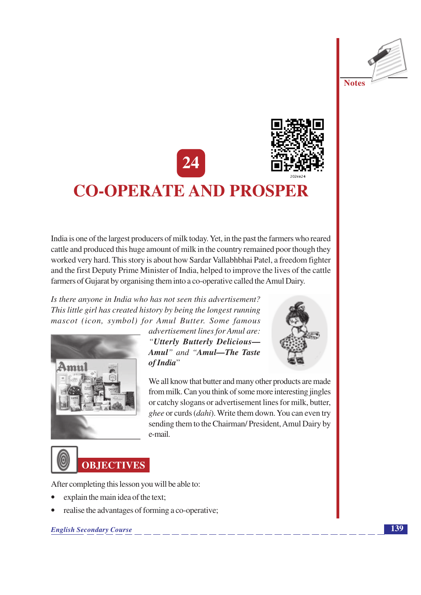



# **CO-OPERATE AND PROSPER**

India is one of the largest producers of milk today. Yet, in the past the farmers who reared cattle and produced this huge amount of milk in the country remained poor though they worked very hard. This story is about how Sardar Vallabhbhai Patel, a freedom fighter and the first Deputy Prime Minister of India, helped to improve the lives of the cattle farmers of Gujarat by organising them into a co-operative called the Amul Dairy.

Is there anyone in India who has not seen this advertisement? This little girl has created history by being the longest running mascot (icon, symbol) for Amul Butter. Some famous



advertisement lines for Amul are: "Utterly Butterly Delicious-Amul" and "Amul-The Taste of India"



We all know that butter and many other products are made from milk. Can you think of some more interesting jingles or catchy slogans or advertisement lines for milk, butter, ghee or curds (dahi). Write them down. You can even try sending them to the Chairman/President, Amul Dairy by e-mail.



After completing this lesson you will be able to:

- explain the main idea of the text;
- realise the advantages of forming a co-operative;

**English Secondary Course**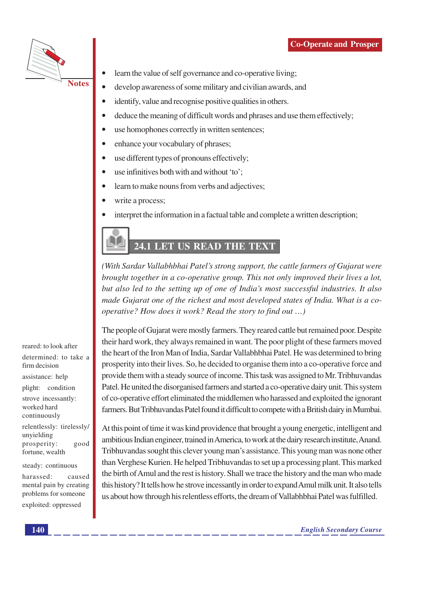

learn the value of self governance and co-operative living;

- develop awareness of some military and civilian awards, and
- identify, value and recognise positive qualities in others.
- deduce the meaning of difficult words and phrases and use them effectively;
- use homophones correctly in written sentences;
- enhance your vocabulary of phrases;
- use different types of pronouns effectively;
- use infinitives both with and without 'to';
- learn to make nouns from verbs and adjectives;
- write a process;
- interpret the information in a factual table and complete a written description;

# 24.1 LET US READ THE TEXT

(With Sardar Vallabhbhai Patel's strong support, the cattle farmers of Gujarat were brought together in a co-operative group. This not only improved their lives a lot, but also led to the setting up of one of India's most successful industries. It also made Gujarat one of the richest and most developed states of India. What is a cooperative? How does it work? Read the story to find out ...)

The people of Gujarat were mostly farmers. They reared cattle but remained poor. Despite their hard work, they always remained in want. The poor plight of these farmers moved the heart of the Iron Man of India, Sardar Vallabhbhai Patel. He was determined to bring prosperity into their lives. So, he decided to organise them into a co-operative force and provide them with a steady source of income. This task was assigned to Mr. Tribhuvandas Patel. He united the disorganised farmers and started a co-operative dairy unit. This system of co-operative effort eliminated the middlemen who harassed and exploited the ignorant farmers. But Tribhuvandas Patel found it difficult to compete with a British dairy in Mumbai.

At this point of time it was kind providence that brought a young energetic, intelligent and ambitious Indian engineer, trained in America, to work at the dairy research institute, Anand. Tribhuvandas sought this clever young man's assistance. This young man was none other than Verghese Kurien. He helped Tribhuvandas to set up a processing plant. This marked the birth of Amul and the rest is history. Shall we trace the history and the man who made this history? It tells how he strove incessantly in order to expand Amul milk unit. It also tells us about how through his relentless efforts, the dream of Vallabhbhai Patel was fulfilled.

reared: to look after determined: to take a firm decision assistance: help plight: condition strove incessantly: worked hard continuously relentlessly: tirelessly/

unyielding prosperity: good fortune, wealth

steady: continuous

harassed: caused mental pain by creating problems for someone exploited: oppressed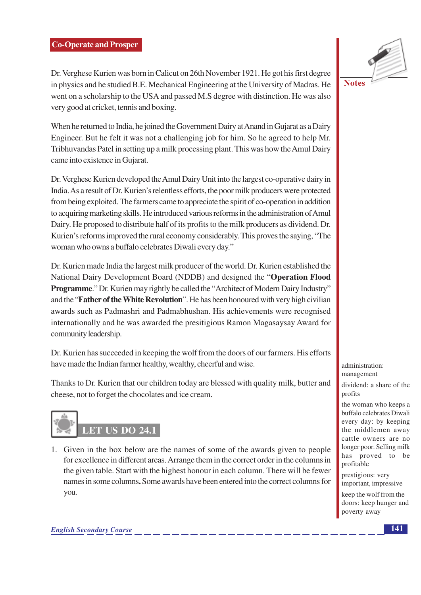#### **Co-Operate and Prosper**

Dr. Verghese Kurien was born in Calicut on 26th November 1921. He got his first degree in physics and he studied B.E. Mechanical Engineering at the University of Madras. He went on a scholarship to the USA and passed M.S degree with distinction. He was also very good at cricket, tennis and boxing.

When he returned to India, he joined the Government Dairy at Anand in Gujarat as a Dairy Engineer. But he felt it was not a challenging job for him. So he agreed to help Mr. Tribhuvandas Patel in setting up a milk processing plant. This was how the Amul Dairy came into existence in Gujarat.

Dr. Verghese Kurien developed the Amul Dairy Unit into the largest co-operative dairy in India. As a result of Dr. Kurien's relentless efforts, the poor milk producers were protected from being exploited. The farmers came to appreciate the spirit of co-operation in addition to acquiring marketing skills. He introduced various reforms in the administration of Amul Dairy. He proposed to distribute half of its profits to the milk producers as dividend. Dr. Kurien's reforms improved the rural economy considerably. This proves the saying, "The woman who owns a buffalo celebrates Diwali every day."

Dr. Kurien made India the largest milk producer of the world. Dr. Kurien established the National Dairy Development Board (NDDB) and designed the "Operation Flood **Programme.**" Dr. Kurien may rightly be called the "Architect of Modern Dairy Industry" and the "**Father of the White Revolution**". He has been honoured with very high civilian awards such as Padmashri and Padmabhushan. His achievements were recognised internationally and he was awarded the presitigious Ramon Magasaysay Award for community leadership.

Dr. Kurien has succeeded in keeping the wolf from the doors of our farmers. His efforts have made the Indian farmer healthy, wealthy, cheerful and wise.

Thanks to Dr. Kurien that our children today are blessed with quality milk, butter and cheese, not to forget the chocolates and ice cream.



1. Given in the box below are the names of some of the awards given to people for excellence in different areas. Arrange them in the correct order in the columns in the given table. Start with the highest honour in each column. There will be fewer names in some columns. Some awards have been entered into the correct columns for you.



**Notes** 

administration: management

dividend: a share of the profits

the woman who keeps a buffalo celebrates Diwali every day: by keeping the middlemen away cattle owners are no longer poor. Selling milk has proved to be profitable

prestigious: very important, impressive

keep the wolf from the doors: keep hunger and poverty away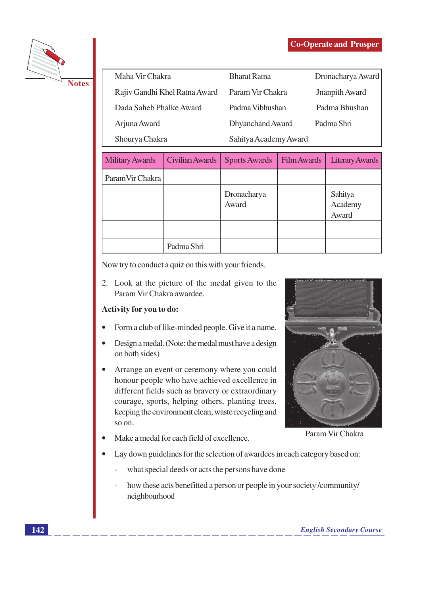

| <b>Bharat Ratna</b> | Dronacharya Award     |
|---------------------|-----------------------|
| Param Vir Chakra    | Jnanpith Award        |
| Padma Vibhushan     | Padma Bhushan         |
| Dhyanchand Award    | Padma Shri            |
|                     |                       |
|                     | Sahitya Academy Award |

| <b>Military Awards</b> | Civilian Awards | <b>Sports Awards</b> | Film Awards | <b>Literary Awards</b>      |
|------------------------|-----------------|----------------------|-------------|-----------------------------|
| Param Vir Chakra       |                 |                      |             |                             |
|                        |                 | Dronacharya<br>Award |             | Sahitya<br>Academy<br>Award |
|                        |                 |                      |             |                             |
|                        | Padma Shri      |                      |             |                             |

Now try to conduct a quiz on this with your friends.

2. Look at the picture of the medal given to the Param Vir Chakra awardee.

# Activity for you to do:

- Form a club of like-minded people. Give it a name.
- Design a medal. (Note: the medal must have a design on both sides)
- Arrange an event or ceremony where you could  $\bullet$ honour people who have achieved excellence in different fields such as bravery or extraordinary courage, sports, helping others, planting trees, keeping the environment clean, waste recycling and so on.
- Make a medal for each field of excellence.



Param Vir Chakra

- Lay down guidelines for the selection of awardees in each category based on:
	- what special deeds or acts the persons have done
	- how these acts benefitted a person or people in your society /community/ neighbourhood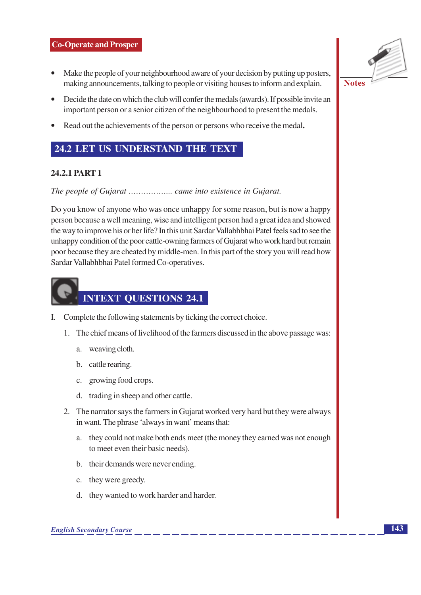#### **Co-Operate and Prosper**

- Make the people of your neighbourhood aware of your decision by putting up posters, making announcements, talking to people or visiting houses to inform and explain.
- Decide the date on which the club will confer the medals (awards). If possible invite an important person or a senior citizen of the neighbourhood to present the medals.
- Read out the achievements of the person or persons who receive the medal.

# 24.2 LET US UNDERSTAND THE TEXT

# 24.2.1 PART 1

Do you know of anyone who was once unhappy for some reason, but is now a happy person because a well meaning, wise and intelligent person had a great idea and showed the way to improve his or her life? In this unit Sardar Vallabhbhai Patel feels sad to see the unhappy condition of the poor cattle-owning farmers of Gujarat who work hard but remain poor because they are cheated by middle-men. In this part of the story you will read how Sardar Vallabhbhai Patel formed Co-operatives.



- I. Complete the following statements by ticking the correct choice.
	- 1. The chief means of livelihood of the farmers discussed in the above passage was:
		- a. weaving cloth.
		- b. cattle rearing.
		- c. growing food crops.
		- d. trading in sheep and other cattle.
	- 2. The narrator says the farmers in Gujarat worked very hard but they were always in want. The phrase 'always in want' means that:
		- a. they could not make both ends meet (the money they earned was not enough to meet even their basic needs).
		- b. their demands were never ending.
		- c. they were greedy.
		- d. they wanted to work harder and harder.

 $\overline{143}$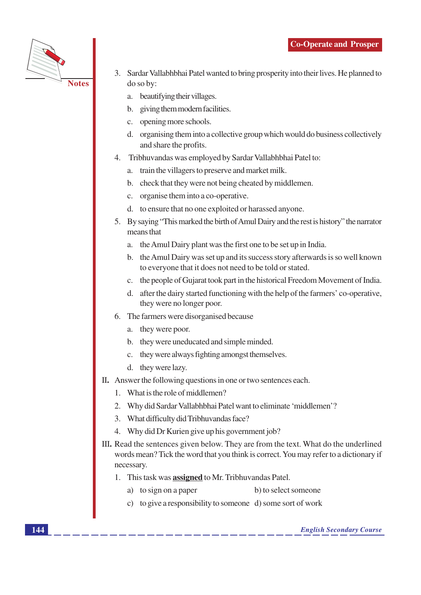

- 3. Sardar Vallabhbhai Patel wanted to bring prosperity into their lives. He planned to do so by:
	- a. beautifying their villages.
	- b. giving them modern facilities.
	- c. opening more schools.
	- d. organising them into a collective group which would do business collectively and share the profits.
- 4. Tribhuvandas was employed by Sardar Vallabhbhai Patel to:
	- a. train the villagers to preserve and market milk.
	- b. check that they were not being cheated by middlemen.
	- c. organise them into a co-operative.
	- d. to ensure that no one exploited or harassed anyone.
- 5. By saying "This marked the birth of Amul Dairy and the rest is history" the narrator means that
	- a. the Amul Dairy plant was the first one to be set up in India.
	- b. the Amul Dairy was set up and its success story afterwards is so well known to everyone that it does not need to be told or stated.
	- c. the people of Gujarat took part in the historical Freedom Movement of India.
	- d. after the dairy started functioning with the help of the farmers' co-operative, they were no longer poor.
- 6. The farmers were disorganised because
	- a. they were poor.
	- b. they were uneducated and simple minded.
	- c. they were always fighting amongst themselves.
	- d. they were lazy.
- II. Answer the following questions in one or two sentences each.
	- 1. What is the role of middlemen?
	- 2. Why did Sardar Vallabhbhai Patel want to eliminate 'middlemen'?
	- 3. What difficulty did Tribhuvandas face?
	- 4. Why did Dr Kurien give up his government job?
- III. Read the sentences given below. They are from the text. What do the underlined words mean? Tick the word that you think is correct. You may refer to a dictionary if necessary.
	- 1. This task was **assigned** to Mr. Tribhuvandas Patel.
		- a) to sign on a paper b) to select someone
		- c) to give a responsibility to someone d) some sort of work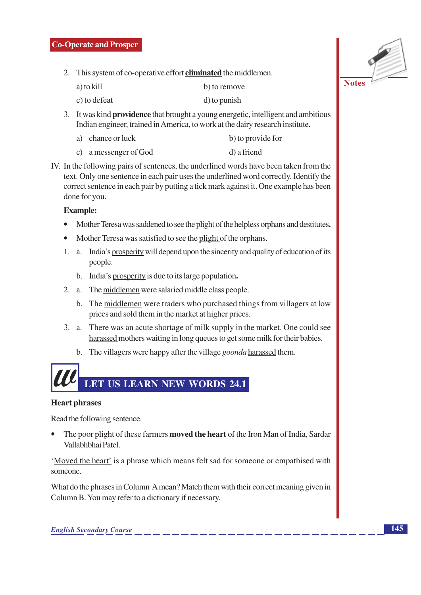#### **Co-Operate and Prosper**

2. This system of co-operative effort **eliminated** the middlemen.

| a) to kill | b) to remove |
|------------|--------------|
|            |              |

- c) to defeat d) to punish
- 3. It was kind **providence** that brought a young energetic, intelligent and ambitious Indian engineer, trained in America, to work at the dairy research institute.
	- a) chance or luck b) to provide for
	- c) a messenger of God d) a friend
- IV. In the following pairs of sentences, the underlined words have been taken from the text. Only one sentence in each pair uses the underlined word correctly. Identify the correct sentence in each pair by putting a tick mark against it. One example has been done for you.

#### **Example:**

- Mother Teresa was saddened to see the plight of the helpless orphans and destitutes.
- Mother Teresa was satisfied to see the plight of the orphans.
- 1. a. India's prosperity will depend upon the sincerity and quality of education of its people.
	- b. India's prosperity is due to its large population.
- 2. a. The middlemen were salaried middle class people.
	- b. The middlemen were traders who purchased things from villagers at low prices and sold them in the market at higher prices.
- 3. a. There was an acute shortage of milk supply in the market. One could see harassed mothers waiting in long queues to get some milk for their babies.
	- b. The villagers were happy after the village *goonda* harassed them.

# LET US LEARN NEW WORDS 24.1

#### **Heart phrases**

Read the following sentence.

The poor plight of these farmers **moved the heart** of the Iron Man of India, Sardar Vallabhbhai Patel

'Moved the heart' is a phrase which means felt sad for someone or empathised with someone

What do the phrases in Column A mean? Match them with their correct meaning given in Column B. You may refer to a dictionary if necessary.

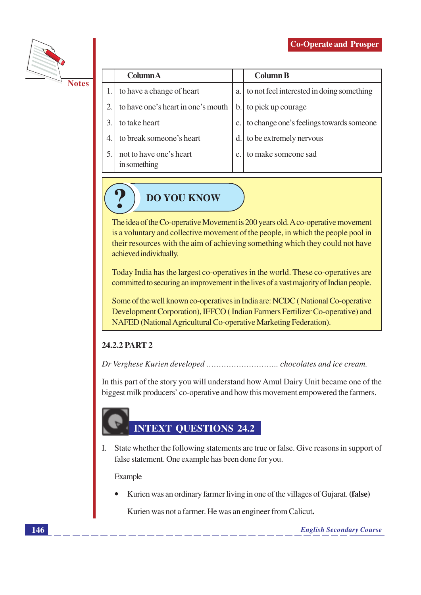

|  |  | $\overline{\phantom{a}}$ |
|--|--|--------------------------|

|    | <b>Column</b> A                         |               | <b>Column B</b>                           |
|----|-----------------------------------------|---------------|-------------------------------------------|
|    | to have a change of heart               | a.            | to not feel interested in doing something |
| 2. | to have one's heart in one's mouth      | $\mathbf b$ . | to pick up courage                        |
|    | to take heart                           |               | to change one's feelings towards someone  |
|    | to break someone's heart                | d.            | to be extremely nervous                   |
|    | not to have one's heart<br>in something | e.            | to make someone sad                       |



The idea of the Co-operative Movement is 200 years old. A co-operative movement is a voluntary and collective movement of the people, in which the people pool in their resources with the aim of achieving something which they could not have achieved individually.

Today India has the largest co-operatives in the world. These co-operatives are committed to securing an improvement in the lives of a vast majority of Indian people.

Some of the well known co-operatives in India are: NCDC (National Co-operative Development Corporation), IFFCO (Indian Farmers Fertilizer Co-operative) and NAFED (National Agricultural Co-operative Marketing Federation).

# 24.2.2 PART 2

In this part of the story you will understand how Amul Dairy Unit became one of the biggest milk producers' co-operative and how this movement empowered the farmers.

# **INTEXT QUESTIONS 24.2**

I. State whether the following statements are true or false. Give reasons in support of false statement. One example has been done for you.

Example

Kurien was an ordinary farmer living in one of the villages of Gujarat. (false)

Kurien was not a farmer. He was an engineer from Calicut.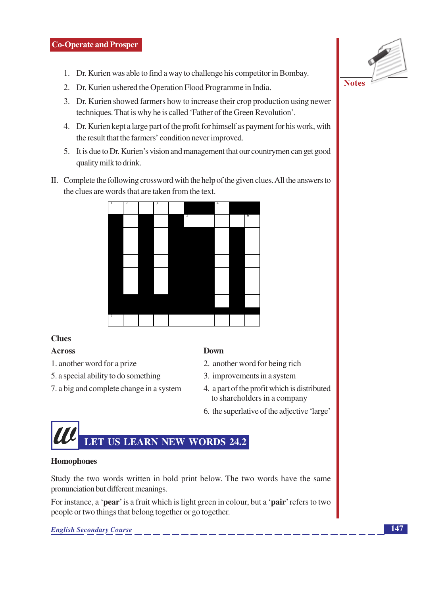- 1. Dr. Kurien was able to find a way to challenge his competitor in Bombay.
- 2. Dr. Kurien ushered the Operation Flood Programme in India.
- 3. Dr. Kurien showed farmers how to increase their crop production using newer techniques. That is why he is called 'Father of the Green Revolution'.
- 4. Dr. Kurien kept a large part of the profit for himself as payment for his work, with the result that the farmers' condition never improved.
- 5. It is due to Dr. Kurien's vision and management that our countrymen can get good quality milk to drink.
- II. Complete the following crossword with the help of the given clues. All the answers to the clues are words that are taken from the text.



# **Clues**

# **Across**

- 1. another word for a prize
- 5. a special ability to do something
- 7. a big and complete change in a system

#### **Down**

- 2. another word for being rich
- 3. improvements in a system
- 4. a part of the profit which is distributed to shareholders in a company
- 6. the superlative of the adjective 'large'



#### **Homophones**

Study the two words written in bold print below. The two words have the same pronunciation but different meanings.

For instance, a 'pear' is a fruit which is light green in colour, but a 'pair' refers to two people or two things that belong together or go together.

**English Secondary Course** 

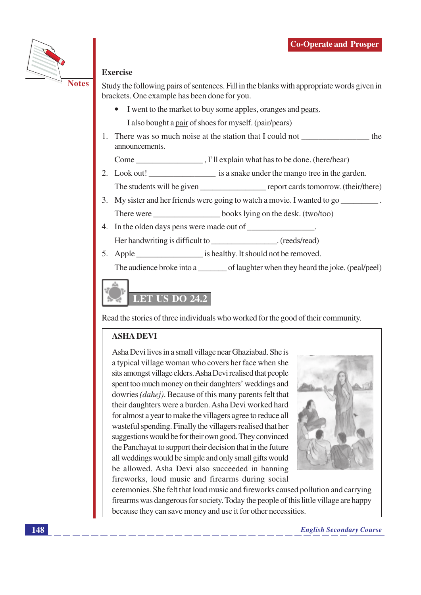

#### **Exercise**

Study the following pairs of sentences. Fill in the blanks with appropriate words given in brackets. One example has been done for you.

- I went to the market to buy some apples, oranges and pears. I also bought a pair of shoes for myself. (pair/pears)
- 1. There was so much noise at the station that I could not \_\_\_\_\_\_\_\_\_\_\_\_\_\_\_\_\_\_\_\_\_ the announcements.

- The students will be given report cards tomorrow. (their/there)
- 3. My sister and her friends were going to watch a movie. I wanted to go There were books lying on the desk. (two/too)
- 4. In the olden days pens were made out of . Her handwriting is difficult to \_\_\_\_\_\_\_\_\_\_\_\_\_\_\_\_\_\_\_\_\_\_\_. (reeds/read)
- 5. Apple is healthy. It should not be removed.

The audience broke into a of laughter when they heard the joke. (peal/peel)



Read the stories of three individuals who worked for the good of their community.

# **ASHA DEVI**

Asha Devi lives in a small village near Ghaziabad. She is a typical village woman who covers her face when she sits amongst village elders. Asha Devi realised that people spent too much money on their daughters' weddings and dowries *(dahej)*. Because of this many parents felt that their daughters were a burden. Asha Devi worked hard for almost a year to make the villagers agree to reduce all wasteful spending. Finally the villagers realised that her suggestions would be for their own good. They convinced the Panchayat to support their decision that in the future all weddings would be simple and only small gifts would be allowed. Asha Devi also succeeded in banning fireworks, loud music and firearms during social



ceremonies. She felt that loud music and fireworks caused pollution and carrying firearms was dangerous for society. Today the people of this little village are happy because they can save money and use it for other necessities.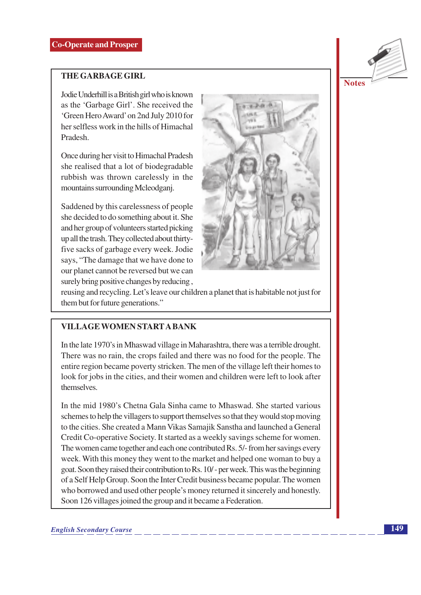# **THE GARBAGE GIRL**

Jodie Underhill is a British girl who is known as the 'Garbage Girl'. She received the 'Green Hero Award' on 2nd July 2010 for her selfless work in the hills of Himachal **Pradesh** 

Once during her visit to Himachal Pradesh she realised that a lot of biodegradable rubbish was thrown carelessly in the mountains surrounding Mcleodganj.

Saddened by this carelessness of people she decided to do something about it. She and her group of volunteers started picking up all the trash. They collected about thirtyfive sacks of garbage every week. Jodie says, "The damage that we have done to our planet cannot be reversed but we can surely bring positive changes by reducing,



reusing and recycling. Let's leave our children a planet that is habitable not just for them but for future generations."

# **VILLAGE WOMEN START A BANK**

In the late 1970's in Mhaswad village in Maharashtra, there was a terrible drought. There was no rain, the crops failed and there was no food for the people. The entire region became poverty stricken. The men of the village left their homes to look for jobs in the cities, and their women and children were left to look after themselves

In the mid 1980's Chetna Gala Sinha came to Mhaswad. She started various schemes to help the villagers to support themselves so that they would stop moving to the cities. She created a Mann Vikas Samajik Sanstha and launched a General Credit Co-operative Society. It started as a weekly savings scheme for women. The women came together and each one contributed Rs. 5/- from her savings every week. With this money they went to the market and helped one woman to buy a goat. Soon they raised their contribution to Rs. 10/- per week. This was the beginning of a Self Help Group. Soon the Inter Credit business became popular. The women who borrowed and used other people's money returned it sincerely and honestly. Soon 126 villages joined the group and it became a Federation.

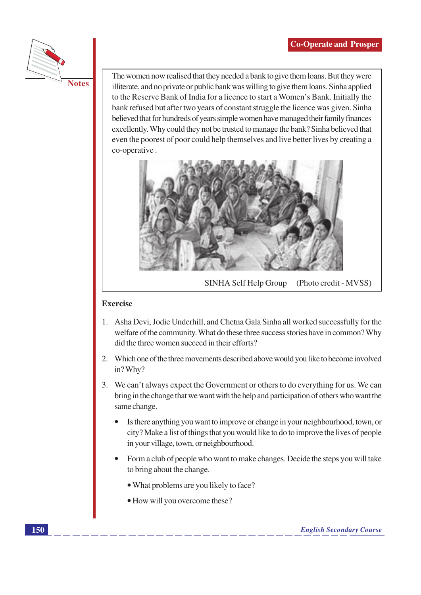

The women now realised that they needed a bank to give them loans. But they were illiterate, and no private or public bank was willing to give them loans. Sinha applied to the Reserve Bank of India for a licence to start a Women's Bank. Initially the bank refused but after two years of constant struggle the licence was given. Sinha believed that for hundreds of years simple women have managed their family finances excellently. Why could they not be trusted to manage the bank? Sinha believed that even the poorest of poor could help themselves and live better lives by creating a co-operative.



SINHA Self Help Group (Photo credit - MVSS)

#### **Exercise**

- 1. Asha Devi, Jodie Underhill, and Chetna Gala Sinha all worked successfully for the welfare of the community. What do these three success stories have in common? Why did the three women succeed in their efforts?
- 2. Which one of the three movements described above would you like to become involved in? Why?
- 3. We can't always expect the Government or others to do everything for us. We can bring in the change that we want with the help and participation of others who want the same change.
	- Is there anything you want to improve or change in your neighbourhood, town, or city? Make a list of things that you would like to do to improve the lives of people in your village, town, or neighbourhood.
	- Form a club of people who want to make changes. Decide the steps you will take to bring about the change.
		- What problems are you likely to face?
		- How will you overcome these?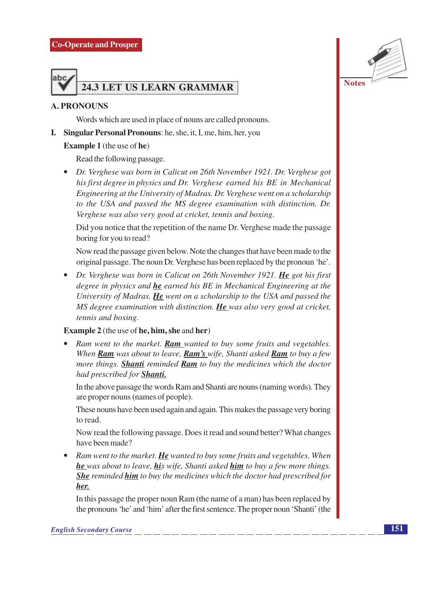

### **A. PRONOUNS**

Words which are used in place of nouns are called pronouns.

**I.** Singular Personal Pronouns: he, she, it, I, me, him, her, you

#### **Example 1** (the use of he)

Read the following passage.

• Dr. Verghese was born in Calicut on 26th November 1921. Dr. Verghese got his first degree in physics and Dr. Verghese earned his BE in Mechanical Engineering at the University of Madras. Dr. Verghese went on a scholarship to the USA and passed the MS degree examination with distinction. Dr. Verghese was also very good at cricket, tennis and boxing.

Did you notice that the repetition of the name Dr. Verghese made the passage boring for you to read?

Now read the passage given below. Note the changes that have been made to the original passage. The noun Dr. Verghese has been replaced by the pronoun 'he'.

• Dr. Verghese was born in Calicut on 26th November 1921. He got his first degree in physics and he earned his BE in Mechanical Engineering at the University of Madras. He went on a scholarship to the USA and passed the MS degree examination with distinction. He was also very good at cricket, tennis and boxing.

#### **Example 2** (the use of he, him, she and her)

Ram went to the market. Ram wanted to buy some fruits and vegetables. When Ram was about to leave, Ram's wife, Shanti asked Ram to buy a few more things. Shanti reminded Ram to buy the medicines which the doctor had prescribed for **Shanti**.

In the above passage the words Ram and Shanti are nouns (naming words). They are proper nouns (names of people).

These nouns have been used again and again. This makes the passage very boring to read.

Now read the following passage. Does it read and sound better? What changes have been made?

• Ram went to the market. He wanted to buy some fruits and vegetables. When **he** was about to leave, **hi**s wife, Shanti asked **him** to buy a few more things. **She** reminded **him** to buy the medicines which the doctor had prescribed for her.

In this passage the proper noun Ram (the name of a man) has been replaced by the pronouns 'he' and 'him' after the first sentence. The proper noun 'Shanti' (the **Notes**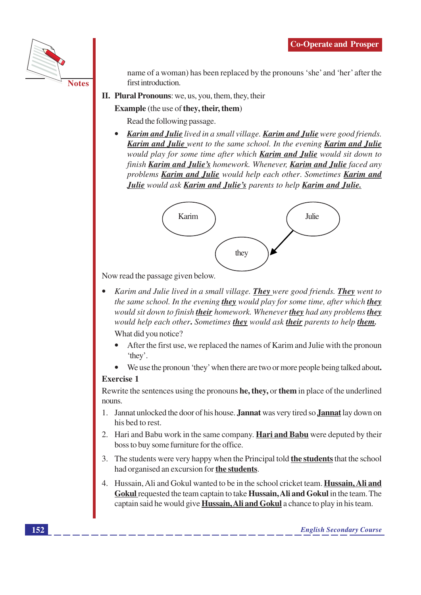

name of a woman) has been replaced by the pronouns 'she' and 'her' after the first introduction.

II. Plural Pronouns: we, us, you, them, they, their

# **Example** (the use of they, their, them)

Read the following passage.

**Karim and Julie** lived in a small village. **Karim and Julie** were good friends. **Karim and Julie** went to the same school. In the evening **Karim and Julie** would play for some time after which **Karim and Julie** would sit down to finish Karim and Julie's homework. Whenever, Karim and Julie faced any problems Karim and Julie would help each other. Sometimes Karim and Julie would ask Karim and Julie's parents to help Karim and Julie.



Now read the passage given below.

- Karim and Julie lived in a small village. They were good friends. They went to the same school. In the evening they would play for some time, after which they would sit down to finish their homework. Whenever they had any problems they would help each other. Sometimes they would ask their parents to help them. What did you notice?
	- After the first use, we replaced the names of Karim and Julie with the pronoun 'they'.
	- We use the pronoun 'they' when there are two or more people being talked about.  $\bullet$

#### **Exercise 1**

Rewrite the sentences using the pronouns **he**, they, or them in place of the underlined nouns.

- 1. Jannat unlocked the door of his house. **Jannat** was very tired so **Jannat** lay down on his bed to rest.
- 2. Hari and Babu work in the same company. Hari and Babu were deputed by their boss to buy some furniture for the office.
- 3. The students were very happy when the Principal told **the students** that the school had organised an excursion for the students.
- 4. Hussain, Ali and Gokul wanted to be in the school cricket team. **Hussain, Ali and** Gokul requested the team captain to take Hussain, Ali and Gokul in the team. The captain said he would give **Hussain, Ali and Gokul** a chance to play in his team.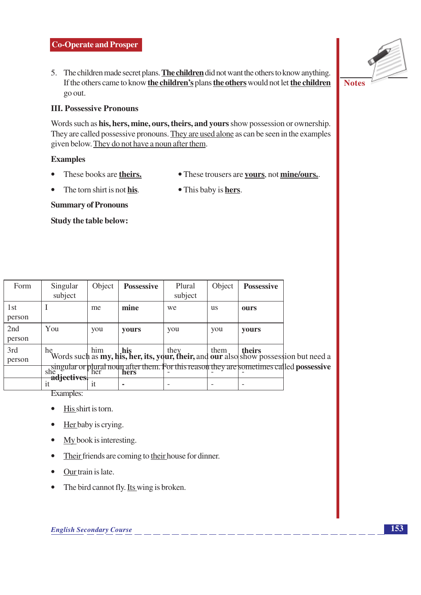5. The children made secret plans. The children did not want the others to know anything. If the others came to know the children's plans the others would not let the children go out.

### **III. Possessive Pronouns**

Words such as his, hers, mine, ours, theirs, and yours show possession or ownership. They are called possessive pronouns. They are used alone as can be seen in the examples given below. They do not have a noun after them.

#### **Examples**

 $\bullet$ 

- These books are theirs.
- These trousers are yours, not mine/ours.
- The torn shirt is not his. • This baby is **hers**.

**Summary of Pronouns** 

Study the table below:

| Form          | Singular<br>subject | Object         | <b>Possessive</b> | Plural<br>subject | Object    | <b>Possessive</b> |                                                                                                                                                                                                                                                                                                                                                                               |
|---------------|---------------------|----------------|-------------------|-------------------|-----------|-------------------|-------------------------------------------------------------------------------------------------------------------------------------------------------------------------------------------------------------------------------------------------------------------------------------------------------------------------------------------------------------------------------|
| 1st<br>person |                     | me             | mine              | we                | <b>us</b> | ours              |                                                                                                                                                                                                                                                                                                                                                                               |
| 2nd<br>person | You                 | you            | <b>vours</b>      | you               | you       | <b>vours</b>      |                                                                                                                                                                                                                                                                                                                                                                               |
| 3rd<br>person | he                  |                |                   |                   |           |                   | e $\begin{array}{ l l }\n\end{array}$ him $\begin{array}{ l l }\n\end{array}$ his $\begin{array}{ l l }\n\end{array}$ here $\begin{array}{ l l }\n\end{array}$ his $\begin{array}{ l l }\n\end{array}$ here $\begin{array}{ l l }\n\end{array}$ here $\begin{array}{ l l }\n\end{array}$ here $\begin{array}{ l l }\n\end{array}$ here $\begin{array}{ l l }\n\end{array}$ he |
|               | adjectives.         |                |                   |                   |           |                   | singular or plural noun after them. For this reason they are sometimes called possessive<br>she with her liners                                                                                                                                                                                                                                                               |
|               |                     | <sub>1</sub> t | ۰                 |                   |           |                   |                                                                                                                                                                                                                                                                                                                                                                               |

Examples:

- His shirt is torn.  $\bullet$
- Her baby is crying.
- My book is interesting.  $\bullet$
- Their friends are coming to their house for dinner.  $\bullet$
- Our train is late.  $\bullet$
- The bird cannot fly. Its wing is broken.  $\bullet$

**Notes**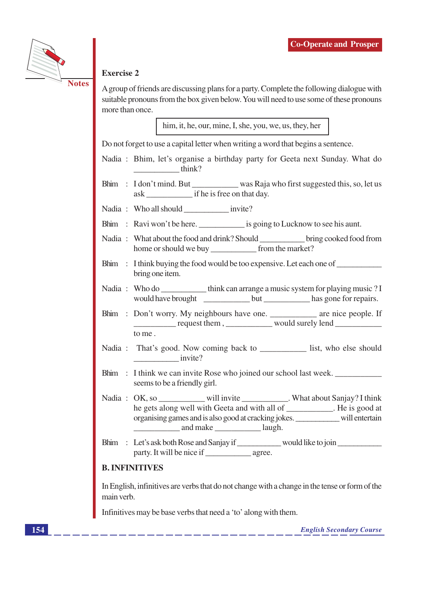

# **Exercise 2**

A group of friends are discussing plans for a party. Complete the following dialogue with suitable pronouns from the box given below. You will need to use some of these pronouns more than once.

him, it, he, our, mine, I, she, you, we, us, they, her

Do not forget to use a capital letter when writing a word that begins a sentence.

- Nadia : Bhim, let's organise a birthday party for Geeta next Sunday. What do  $\frac{1}{2}$  think?
- ask if he is free on that day.
- 
- Bhim : Ravi won't be here. is going to Lucknow to see his aunt.
- Nadia: What about the food and drink? Should \_\_\_\_\_\_\_\_\_\_\_\_\_\_\_\_ bring cooked food from home or should we buy from the market?
- Bhim : I think buying the food would be too expensive. Let each one of bring one item.
- Nadia: Who do \_\_\_\_\_\_\_\_\_\_\_\_think can arrange a music system for playing music ? I would have brought but has gone for repairs.
- Bhim : Don't worry. My neighbours have one. \_\_\_\_\_\_\_\_\_\_\_ are nice people. If request them, would surely lend to me.
- Nadia: That's good. Now coming back to list, who else should invite?
- Bhim : I think we can invite Rose who joined our school last week. seems to be a friendly girl.
- Nadia: OK, so will invite What about Sanjay? I think he gets along well with Geeta and with all of \_\_\_\_\_\_\_\_\_\_\_. He is good at organising games and is also good at cracking jokes. will entertain and make laugh.
- Bhim : Let's ask both Rose and Sanjay if \_\_\_\_\_\_\_\_\_ would like to join \_\_\_\_\_\_\_\_\_\_

# **B. INFINITIVES**

In English, infinitives are verbs that do not change with a change in the tense or form of the main verb.

Infinitives may be base verbs that need a 'to' along with them.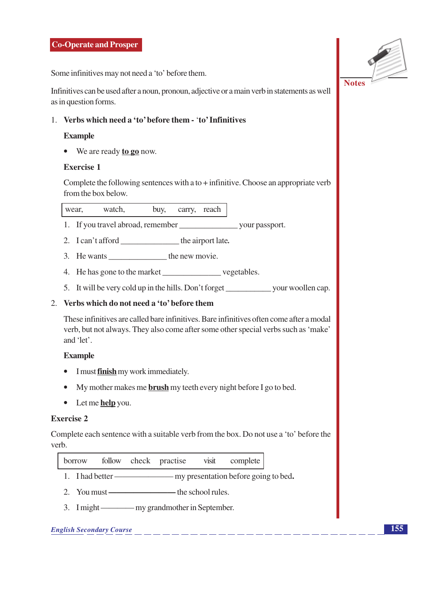Some infinitives may not need a 'to' before them.

Infinitives can be used after a noun, pronoun, adjective or a main verb in statements as well as in question forms.

#### 1. Verbs which need a 'to' before them - 'to' Infinitives

#### **Example**

 $\bullet$  We are ready to go now.

#### **Exercise 1**

Complete the following sentences with a to  $+$  infinitive. Choose an appropriate verb from the box below.

wear. watch. buy, carry, reach

- 
- 2. I can't afford \_\_\_\_\_\_\_\_\_\_\_\_\_\_\_\_\_\_\_\_\_\_\_\_\_ the airport late.
- 3. He wants the new movie.
- 
- 

#### 2. Verbs which do not need a 'to' before them

These infinitives are called bare infinitives. Bare infinitives often come after a modal verb, but not always. They also come after some other special verbs such as 'make' and 'let'.

#### **Example**

- I must **finish** my work immediately.
- My mother makes me **brush** my teeth every night before I go to bed.
- $\bullet$  Let me **help** you.

#### **Exercise 2**

Complete each sentence with a suitable verb from the box. Do not use a 'to' before the verb.

| borrow |  | follow check | practise | visit | complete |
|--------|--|--------------|----------|-------|----------|
|--------|--|--------------|----------|-------|----------|

- 
- 
- 3. I might my grand mother in September.

# **English Secondary Course**

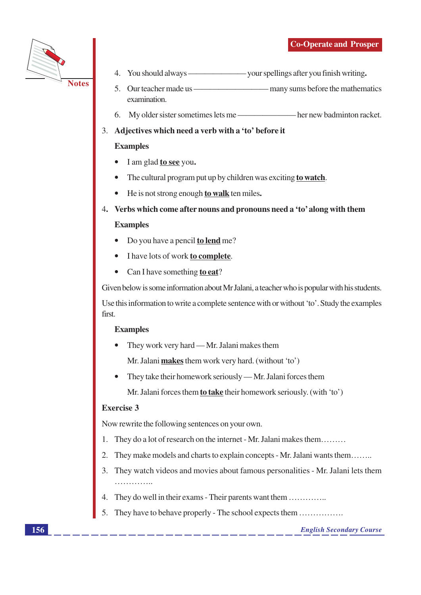

- $\mathbf{4}$ .
- 5. examination.
- 6. My older sister sometimes lets me — her new badminton racket.

# 3. Adjectives which need a verb with a 'to' before it

# **Examples**

- I am glad to see you.
- The cultural program put up by children was exciting to watch.
- He is not strong enough to walk ten miles.  $\bullet$
- 4. Verbs which come after nouns and pronouns need a 'to' along with them

# **Examples**

- Do you have a pencil **to lend** me?
- I have lots of work to complete.
- Can I have something to eat?  $\bullet$

Given below is some information about Mr Jalani, a teacher who is popular with his students.

Use this information to write a complete sentence with or without 'to'. Study the examples first.

# **Examples**

They work very hard — Mr. Jalani makes them

Mr. Jalani makes them work very hard. (without 'to')

They take their homework seriously — Mr. Jalani forces them  $\bullet$ 

Mr. Jalani forces them to take their homework seriously. (with 'to')

# **Exercise 3**

Now rewrite the following sentences on your own.

- 1. They do a lot of research on the internet - Mr. Jalani makes them.........
- They make models and charts to explain concepts Mr. Jalani wants them.......  $\overline{2}$ .
- They watch videos and movies about famous personalities Mr. Jalani lets them  $3.$ . . . . . . . . . . . . . .
- 4. They do well in their exams Their parents want them ........................
- 5. They have to behave properly - The school expects them ................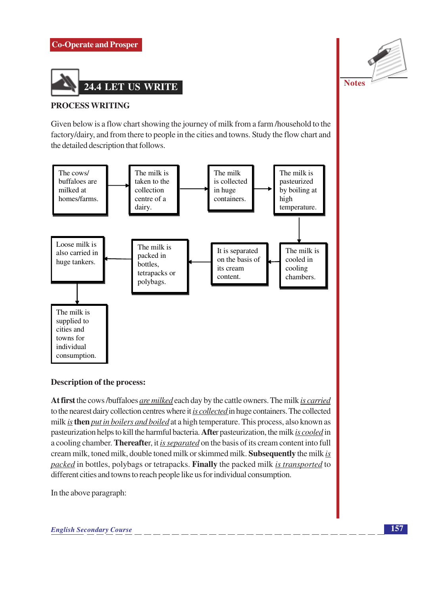# **Co-Operate and Prosper**



#### **PROCESS WRITING**

Given below is a flow chart showing the journey of milk from a farm/household to the factory/dairy, and from there to people in the cities and towns. Study the flow chart and the detailed description that follows.



#### Description of the process:

At first the cows/buffaloes are milked each day by the cattle owners. The milk is carried to the nearest dairy collection centres where it is collected in huge containers. The collected milk is then put in boilers and boiled at a high temperature. This process, also known as pasteurization helps to kill the harmful bacteria. After pasteurization, the milk is cooled in a cooling chamber. Thereafter, it is separated on the basis of its cream content into full cream milk, toned milk, double toned milk or skimmed milk. Subsequently the milk is packed in bottles, polybags or tetrapacks. Finally the packed milk is transported to different cities and towns to reach people like us for individual consumption.

In the above paragraph:

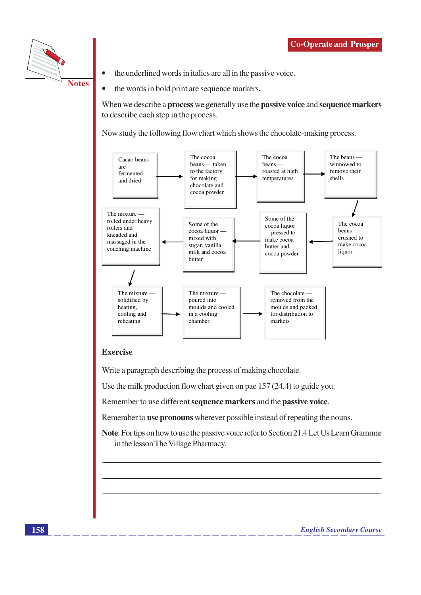

- the underlined words in italics are all in the passive voice.
- the words in bold print are sequence markers.  $\bullet$

When we describe a **process** we generally use the **passive voice** and **sequence markers** to describe each step in the process.

Now study the following flow chart which shows the chocolate-making process.



# **Exercise**

Write a paragraph describing the process of making chocolate.

Use the milk production flow chart given on pae  $157(24.4)$  to guide you.

Remember to use different sequence markers and the passive voice.

Remember to **use pronouns** wherever possible instead of repeating the nouns.

Note: For tips on how to use the passive voice refer to Section 21.4 Let Us Learn Grammar in the lesson The Village Pharmacy.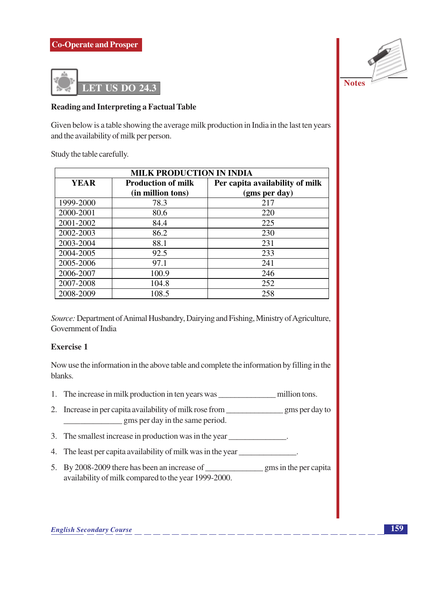

### **Reading and Interpreting a Factual Table**

Given below is a table showing the average milk production in India in the last ten years and the availability of milk per person.

Study the table carefully.

| <b>MILK PRODUCTION IN INDIA</b>                                             |                   |               |  |  |
|-----------------------------------------------------------------------------|-------------------|---------------|--|--|
| <b>YEAR</b><br>Per capita availability of milk<br><b>Production of milk</b> |                   |               |  |  |
|                                                                             | (in million tons) | (gms per day) |  |  |
| 1999-2000                                                                   | 78.3              | 217           |  |  |
| 2000-2001                                                                   | 80.6              | 220           |  |  |
| 2001-2002                                                                   | 84.4              | 225           |  |  |
| 2002-2003                                                                   | 86.2              | 230           |  |  |
| 2003-2004                                                                   | 88.1              | 231           |  |  |
| 2004-2005                                                                   | 92.5              | 233           |  |  |
| 2005-2006                                                                   | 97.1              | 241           |  |  |
| 2006-2007                                                                   | 100.9             | 246           |  |  |
| 2007-2008                                                                   | 104.8             | 252           |  |  |
| 2008-2009                                                                   | 108.5             | 258           |  |  |

Source: Department of Animal Husbandry, Dairying and Fishing, Ministry of Agriculture, Government of India

# **Exercise 1**

Now use the information in the above table and complete the information by filling in the blanks.

- 
- gms per day in the same period.
- 3. The smallest increase in production was in the year \_\_\_\_\_\_\_\_\_\_\_\_\_.
- 4. The least per capita availability of milk was in the year
- availability of milk compared to the year 1999-2000.

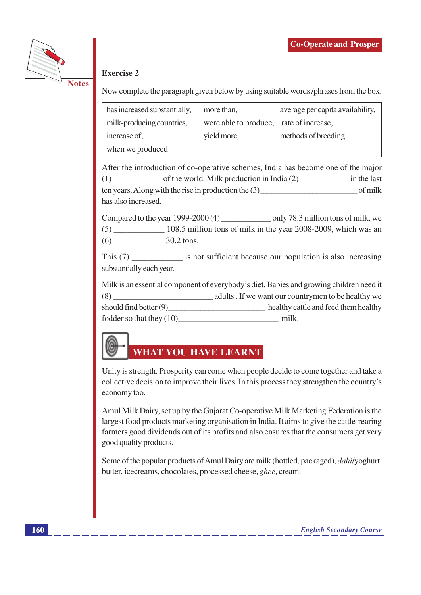

# **Exercise 2**

Now complete the paragraph given below by using suitable words/phrases from the box.

| has increased substantially, | more than,                              | average per capita availability, |
|------------------------------|-----------------------------------------|----------------------------------|
| milk-producing countries,    | were able to produce, rate of increase, |                                  |
| increase of,                 | yield more,                             | methods of breeding              |
| when we produced             |                                         |                                  |

After the introduction of co-operative schemes. India has become one of the major (1) of the world. Milk production in India (2) in the last ten years. Along with the rise in production the  $(3)$  of milk has also increased.

Compared to the year 1999-2000 (4) only 78.3 million tons of milk, we  $(6)$  30.2 tons.

This (7) is not sufficient because our population is also increasing substantially each year.

Milk is an essential component of everybody's diet. Babies and growing children need it adults. If we want our countrymen to be healthy we should find better (9) healthy cattle and feed them healthy fodder so that they (10) milk.

# **WHAT YOU HAVE LEARNT**

Unity is strength. Prosperity can come when people decide to come together and take a collective decision to improve their lives. In this process they strengthen the country's economy too.

Amul Milk Dairy, set up by the Gujarat Co-operative Milk Marketing Federation is the largest food products marketing organisation in India. It aims to give the cattle-rearing farmers good dividends out of its profits and also ensures that the consumers get very good quality products.

Some of the popular products of Amul Dairy are milk (bottled, packaged), *dahilyoghurt*, butter, icecreams, chocolates, processed cheese, *ghee*, cream.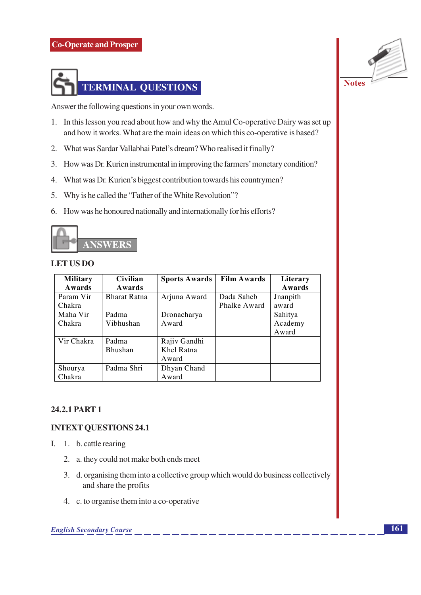

Answer the following questions in your own words.

- 1. In this lesson you read about how and why the Amul Co-operative Dairy was set up and how it works. What are the main ideas on which this co-operative is based?
- 2. What was Sardar Vallabhai Patel's dream? Who realised it finally?
- 3. How was Dr. Kurien instrumental in improving the farmers' monetary condition?
- 4. What was Dr. Kurien's biggest contribution towards his countrymen?
- 5. Why is he called the "Father of the White Revolution"?
- 6. How was he honoured nationally and internationally for his efforts?



#### **LET US DO**

| <b>Military</b> | <b>Civilian</b>     | <b>Sports Awards</b> | <b>Film Awards</b> | Literary |
|-----------------|---------------------|----------------------|--------------------|----------|
| Awards          | Awards              |                      |                    | Awards   |
| Param Vir       | <b>Bharat Ratna</b> | Arjuna Award         | Dada Saheb         | Jnanpith |
| Chakra          |                     |                      | Phalke Award       | award    |
| Maha Vir        | Padma               | Dronacharya          |                    | Sahitya  |
| Chakra          | Vibhushan           | Award                |                    | Academy  |
|                 |                     |                      |                    | Award    |
| Vir Chakra      | Padma               | Rajiv Gandhi         |                    |          |
|                 | <b>Bhushan</b>      | Khel Ratna           |                    |          |
|                 |                     | Award                |                    |          |
| Shourya         | Padma Shri          | Dhyan Chand          |                    |          |
| Chakra          |                     | Award                |                    |          |

#### 24.2.1 PART 1

#### **INTEXT QUESTIONS 24.1**

- I. 1. b. cattle rearing
	- 2. a. they could not make both ends meet
	- 3. d. organising them into a collective group which would do business collectively and share the profits
	- 4. c. to organise them into a co-operative

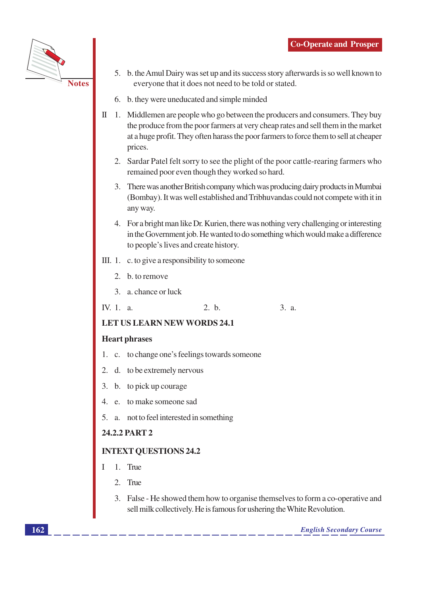

- 5. b. the Amul Dairy was set up and its success story afterwards is so well known to everyone that it does not need to be told or stated.
- 6. b. they were uneducated and simple minded
- $\text{II}$  1. Middlemen are people who go between the producers and consumers. They buy the produce from the poor farmers at very cheap rates and sell them in the market at a huge profit. They often harass the poor farmers to force them to sell at cheaper prices.
	- 2. Sardar Patel felt sorry to see the plight of the poor cattle-rearing farmers who remained poor even though they worked so hard.
	- 3. There was another British company which was producing dairy products in Mumbai (Bombay). It was well established and Tribhuvandas could not compete with it in any way.
	- 4. For a bright man like Dr. Kurien, there was nothing very challenging or interesting in the Government job. He wanted to do something which would make a difference to people's lives and create history.
- III. 1.  $\,$ c. to give a responsibility to someone
	- 2. b. to remove
	- 3. a. chance or luck
- $IV.1. a.$  $2-h$  $3. a.$

#### **LET US LEARN NEW WORDS 24.1**

#### **Heart phrases**

- 1. c. to change one's feelings towards someone
- 2. d. to be extremely nervous
- 3. b. to pick up courage
- 4. e. to make someone sad
- 5. a. not to feel interested in something

#### 24.2.2 PART 2

#### **INTEXT QUESTIONS 24.2**

- $\mathbf{I}$ 1. True
	- $2$  True
	- 3. False He showed them how to organise themselves to form a co-operative and sell milk collectively. He is famous for ushering the White Revolution.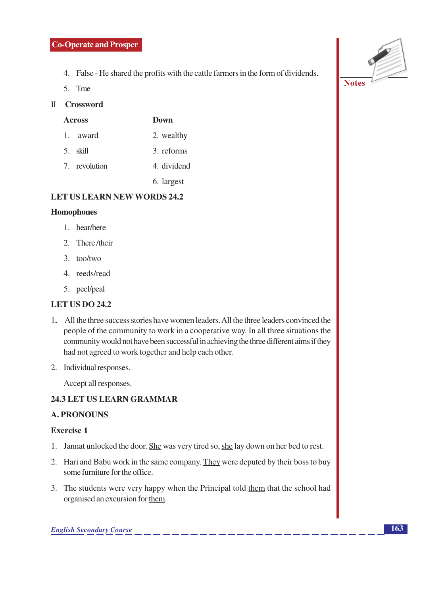- 4. False He shared the profits with the cattle farmers in the form of dividends.
- 5. True

# II Crossword

| <b>Across</b> | Down        |  |
|---------------|-------------|--|
| 1. award      | 2. wealthy  |  |
| 5. skill      | 3. reforms  |  |
| 7. revolution | 4. dividend |  |
|               |             |  |

6. largest

# **LET US LEARN NEW WORDS 24.2**

#### **Homophones**

- 1. hear/here
- 2. There/their
- $3.$  too/two
- 4. reeds/read
- 5. peel/peal

# **LET US DO 24.2**

- 1. All the three success stories have women leaders. All the three leaders convinced the people of the community to work in a cooperative way. In all three situations the community would not have been successful in achieving the three different aims if they had not agreed to work together and help each other.
- 2. Individual responses.

Accept all responses.

# 24.3 LET US LEARN GRAMMAR

# **A. PRONOUNS**

#### **Exercise 1**

- 1. Jannat unlocked the door. She was very tired so, she lay down on her bed to rest.
- 2. Hari and Babu work in the same company. They were deputed by their boss to buy some furniture for the office.
- 3. The students were very happy when the Principal told them that the school had organised an excursion for them.

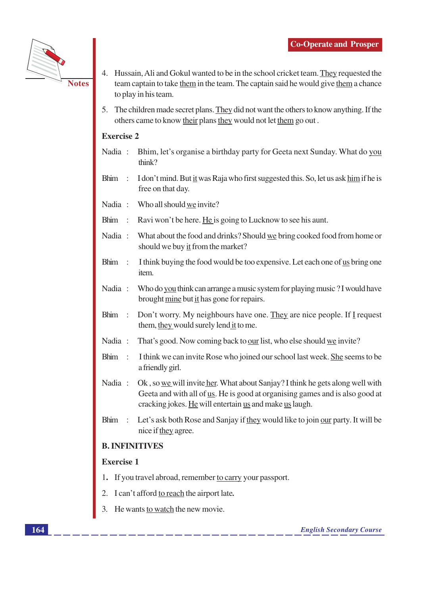

- 4. Hussain, Ali and Gokul wanted to be in the school cricket team. They requested the team captain to take them in the team. The captain said he would give them a chance to play in his team.
- The children made secret plans. They did not want the others to know anything. If the 5. others came to know their plans they would not let them go out.

# **Exercise 2**

- Bhim, let's organise a birthday party for Geeta next Sunday. What do you Nadia: think?
- I don't mind. But it was Raja who first suggested this. So, let us ask him if he is Bhim: free on that day.
- Nadia: Who all should we invite?
- Bhim: Ravi won't be here. He is going to Lucknow to see his aunt.
- Nadia: What about the food and drinks? Should we bring cooked food from home or should we buy it from the market?
- **Bhim**  $\rightarrow$ I think buying the food would be too expensive. Let each one of us bring one item.
- Nadia: Who do you think can arrange a music system for playing music? I would have brought mine but it has gone for repairs.
- Don't worry. My neighbours have one. They are nice people. If I request Bhim: them, they would surely lend it to me.
- That's good. Now coming back to our list, who else should we invite? Nadia:
- I think we can invite Rose who joined our school last week. She seems to be Bhim : a friendly girl.
- Nadia: Ok, so we will invite her. What about Sanjay? I think he gets along well with Geeta and with all of us. He is good at organising games and is also good at cracking jokes. He will entertain us and make us laugh.
- Bhim: Let's ask both Rose and Sanjay if they would like to join our party. It will be nice if they agree.

# **B. INFINITIVES**

# **Exercise 1**

- 1. If you travel abroad, remember to carry your passport.
- 2. I can't afford to reach the airport late.
- 3. He wants to watch the new movie.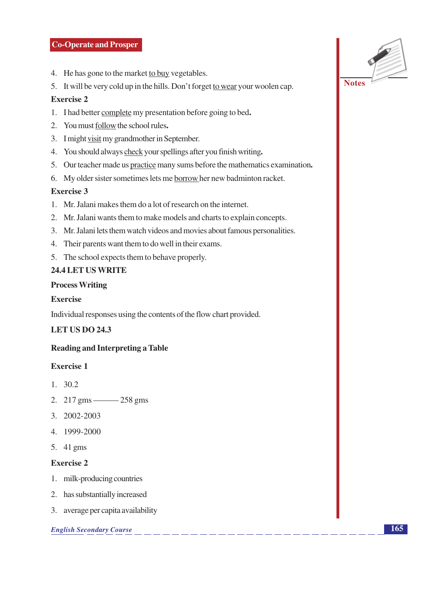#### **Co-Operate and Prosper**

- 4. He has gone to the market to buy vegetables.
- 5. It will be very cold up in the hills. Don't forget to wear your woolen cap.

### **Exercise 2**

- 1. I had better complete my presentation before going to bed.
- 2. You must follow the school rules.
- 3. I might visit my grandmother in September.
- 4. You should always check your spellings after you finish writing.
- 5. Our teacher made us practice many sums before the mathematics examination.
- 6. My older sister sometimes lets me borrow her new badminton racket.

#### **Exercise 3**

- 1. Mr. Jalani makes them do a lot of research on the internet.
- 2. Mr. Jalani wants them to make models and charts to explain concepts.
- 3. Mr. Jalani lets them watch videos and movies about famous personalities.
- 4. Their parents want them to do well in their exams.
- 5. The school expects them to behave properly.

#### 24.4 LET US WRITE

#### **Process Writing**

#### Exercise

Individual responses using the contents of the flow chart provided.

# **LET US DO 24.3**

# **Reading and Interpreting a Table**

### **Exercise 1**

- $1. \quad 30.2$
- 2. 217 gms 258 gms
- 3. 2002-2003
- 4. 1999-2000
- 5. 41 gms

#### **Exercise 2**

- 1. milk-producing countries
- 2. has substantially increased
- 3. average per capita availability

#### **English Secondary Course**